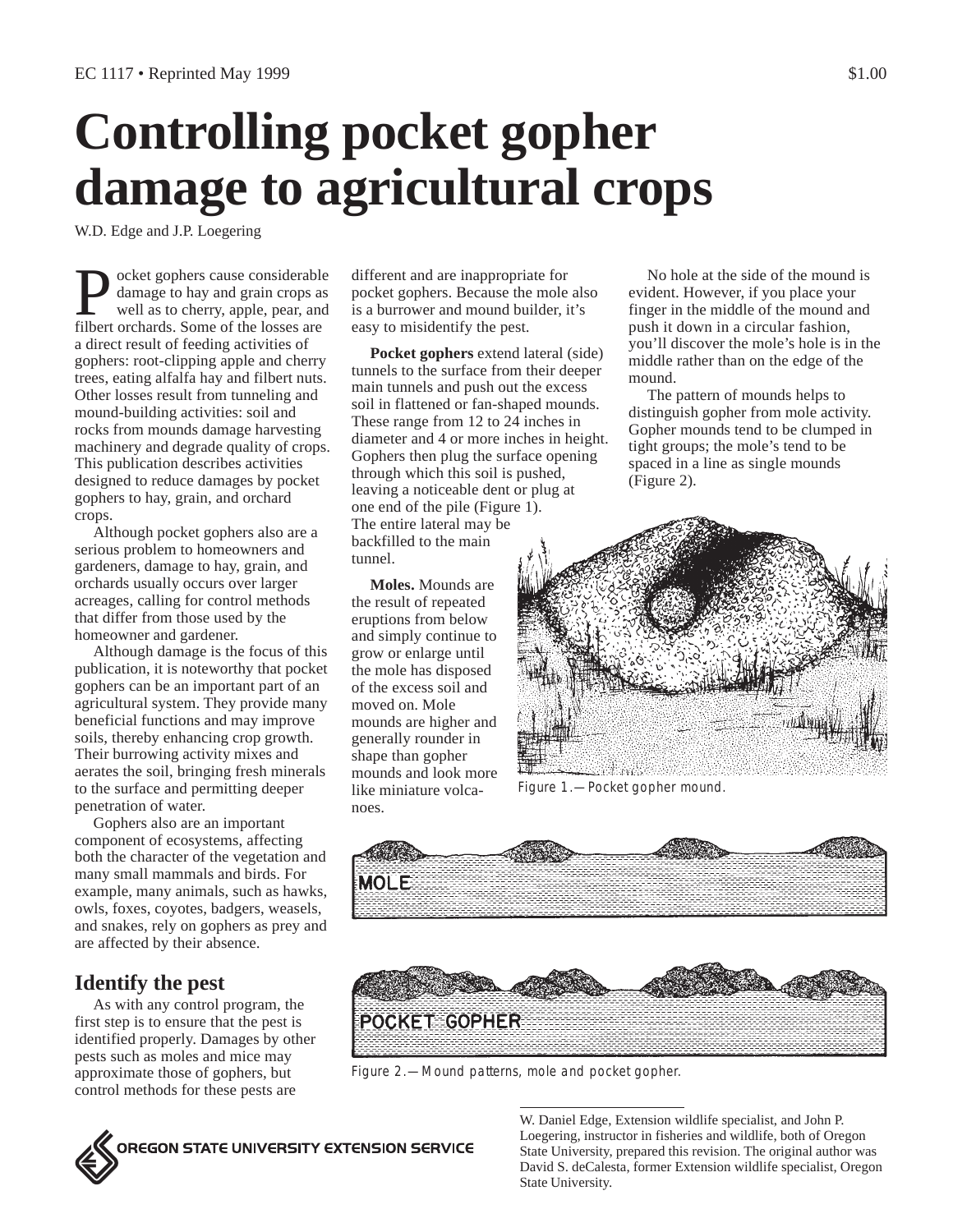# **Controlling pocket gopher damage to agricultural crops**

W.D. Edge and J.P. Loegering

ocket gophers cause considerable damage to hay and grain crops as well as to cherry, apple, pear, and filbert orchards. Some of the losses are a direct result of feeding activities of gophers: root-clipping apple and cherry trees, eating alfalfa hay and filbert nuts. Other losses result from tunneling and mound-building activities: soil and rocks from mounds damage harvesting machinery and degrade quality of crops. This publication describes activities designed to reduce damages by pocket gophers to hay, grain, and orchard crops.

Although pocket gophers also are a serious problem to homeowners and gardeners, damage to hay, grain, and orchards usually occurs over larger acreages, calling for control methods that differ from those used by the homeowner and gardener.

Although damage is the focus of this publication, it is noteworthy that pocket gophers can be an important part of an agricultural system. They provide many beneficial functions and may improve soils, thereby enhancing crop growth. Their burrowing activity mixes and aerates the soil, bringing fresh minerals to the surface and permitting deeper penetration of water.

Gophers also are an important component of ecosystems, affecting both the character of the vegetation and many small mammals and birds. For example, many animals, such as hawks, owls, foxes, coyotes, badgers, weasels, and snakes, rely on gophers as prey and are affected by their absence.

## **Identify the pest**

As with any control program, the first step is to ensure that the pest is identified properly. Damages by other pests such as moles and mice may approximate those of gophers, but control methods for these pests are

different and are inappropriate for pocket gophers. Because the mole also is a burrower and mound builder, it's easy to misidentify the pest.

**Pocket gophers** extend lateral (side) tunnels to the surface from their deeper main tunnels and push out the excess soil in flattened or fan-shaped mounds. These range from 12 to 24 inches in diameter and 4 or more inches in height. Gophers then plug the surface opening through which this soil is pushed, leaving a noticeable dent or plug at one end of the pile (Figure 1). The entire lateral may be backfilled to the main tunnel.

**Moles.** Mounds are the result of repeated eruptions from below and simply continue to grow or enlarge until the mole has disposed of the excess soil and moved on. Mole mounds are higher and generally rounder in shape than gopher mounds and look more like miniature volcanoes.

No hole at the side of the mound is evident. However, if you place your finger in the middle of the mound and push it down in a circular fashion, you'll discover the mole's hole is in the middle rather than on the edge of the mound.

The pattern of mounds helps to distinguish gopher from mole activity. Gopher mounds tend to be clumped in tight groups; the mole's tend to be spaced in a line as single mounds (Figure 2).



Figure 1.—Pocket gopher mound.





Figure 2.—Mound patterns, mole and pocket gopher.



W. Daniel Edge, Extension wildlife specialist, and John P. Loegering, instructor in fisheries and wildlife, both of Oregon State University, prepared this revision. The original author was David S. deCalesta, former Extension wildlife specialist, Oregon State University.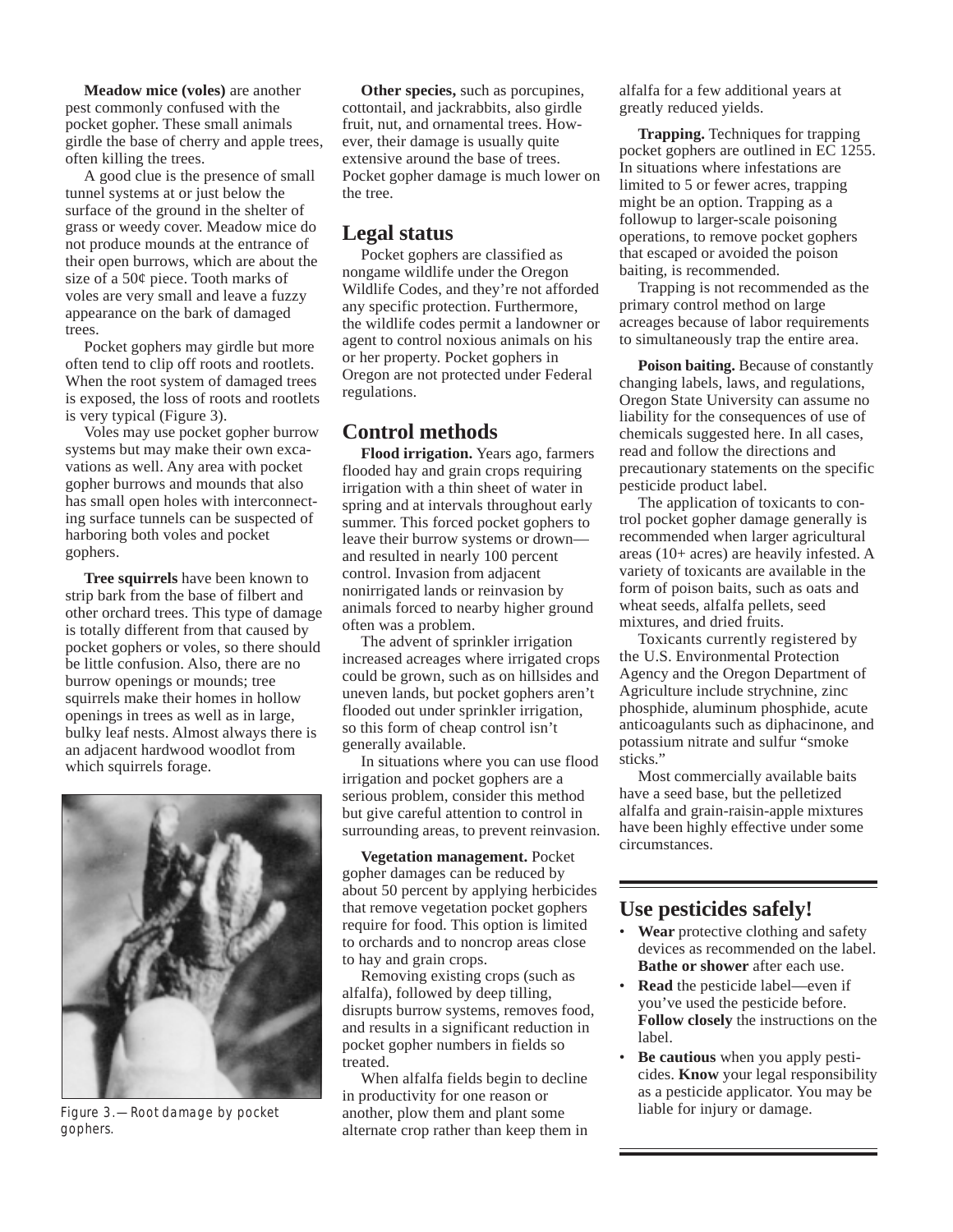**Meadow mice (voles)** are another pest commonly confused with the pocket gopher. These small animals girdle the base of cherry and apple trees, often killing the trees.

A good clue is the presence of small tunnel systems at or just below the surface of the ground in the shelter of grass or weedy cover. Meadow mice do not produce mounds at the entrance of their open burrows, which are about the size of a 50¢ piece. Tooth marks of voles are very small and leave a fuzzy appearance on the bark of damaged trees.

Pocket gophers may girdle but more often tend to clip off roots and rootlets. When the root system of damaged trees is exposed, the loss of roots and rootlets is very typical (Figure 3).

Voles may use pocket gopher burrow systems but may make their own excavations as well. Any area with pocket gopher burrows and mounds that also has small open holes with interconnecting surface tunnels can be suspected of harboring both voles and pocket gophers.

**Tree squirrels** have been known to strip bark from the base of filbert and other orchard trees. This type of damage is totally different from that caused by pocket gophers or voles, so there should be little confusion. Also, there are no burrow openings or mounds; tree squirrels make their homes in hollow openings in trees as well as in large, bulky leaf nests. Almost always there is an adjacent hardwood woodlot from which squirrels forage.



gophers.

**Other species,** such as porcupines, cottontail, and jackrabbits, also girdle fruit, nut, and ornamental trees. However, their damage is usually quite extensive around the base of trees. Pocket gopher damage is much lower on the tree.

#### **Legal status**

Pocket gophers are classified as nongame wildlife under the Oregon Wildlife Codes, and they're not afforded any specific protection. Furthermore, the wildlife codes permit a landowner or agent to control noxious animals on his or her property. Pocket gophers in Oregon are not protected under Federal regulations.

#### **Control methods**

**Flood irrigation.** Years ago, farmers flooded hay and grain crops requiring irrigation with a thin sheet of water in spring and at intervals throughout early summer. This forced pocket gophers to leave their burrow systems or drown and resulted in nearly 100 percent control. Invasion from adjacent nonirrigated lands or reinvasion by animals forced to nearby higher ground often was a problem.

The advent of sprinkler irrigation increased acreages where irrigated crops could be grown, such as on hillsides and uneven lands, but pocket gophers aren't flooded out under sprinkler irrigation, so this form of cheap control isn't generally available.

In situations where you can use flood irrigation and pocket gophers are a serious problem, consider this method but give careful attention to control in surrounding areas, to prevent reinvasion.

**Vegetation management.** Pocket gopher damages can be reduced by about 50 percent by applying herbicides that remove vegetation pocket gophers require for food. This option is limited to orchards and to noncrop areas close to hay and grain crops.

Removing existing crops (such as alfalfa), followed by deep tilling, disrupts burrow systems, removes food, and results in a significant reduction in pocket gopher numbers in fields so treated.

When alfalfa fields begin to decline in productivity for one reason or another, plow them and plant some alternate crop rather than keep them in Figure 3.—Root damage by pocket another, plow them and plant some liable for injury or damage.

alfalfa for a few additional years at greatly reduced yields.

**Trapping.** Techniques for trapping pocket gophers are outlined in EC 1255. In situations where infestations are limited to 5 or fewer acres, trapping might be an option. Trapping as a followup to larger-scale poisoning operations, to remove pocket gophers that escaped or avoided the poison baiting, is recommended.

Trapping is not recommended as the primary control method on large acreages because of labor requirements to simultaneously trap the entire area.

**Poison baiting.** Because of constantly changing labels, laws, and regulations, Oregon State University can assume no liability for the consequences of use of chemicals suggested here. In all cases, read and follow the directions and precautionary statements on the specific pesticide product label.

The application of toxicants to control pocket gopher damage generally is recommended when larger agricultural areas (10+ acres) are heavily infested. A variety of toxicants are available in the form of poison baits, such as oats and wheat seeds, alfalfa pellets, seed mixtures, and dried fruits.

Toxicants currently registered by the U.S. Environmental Protection Agency and the Oregon Department of Agriculture include strychnine, zinc phosphide, aluminum phosphide, acute anticoagulants such as diphacinone, and potassium nitrate and sulfur "smoke sticks."

Most commercially available baits have a seed base, but the pelletized alfalfa and grain-raisin-apple mixtures have been highly effective under some circumstances.

#### **Use pesticides safely!**

- **Wear** protective clothing and safety devices as recommended on the label. **Bathe or shower** after each use.
- **Read** the pesticide label—even if you've used the pesticide before. **Follow closely** the instructions on the label.
- **Be cautious** when you apply pesticides. **Know** your legal responsibility as a pesticide applicator. You may be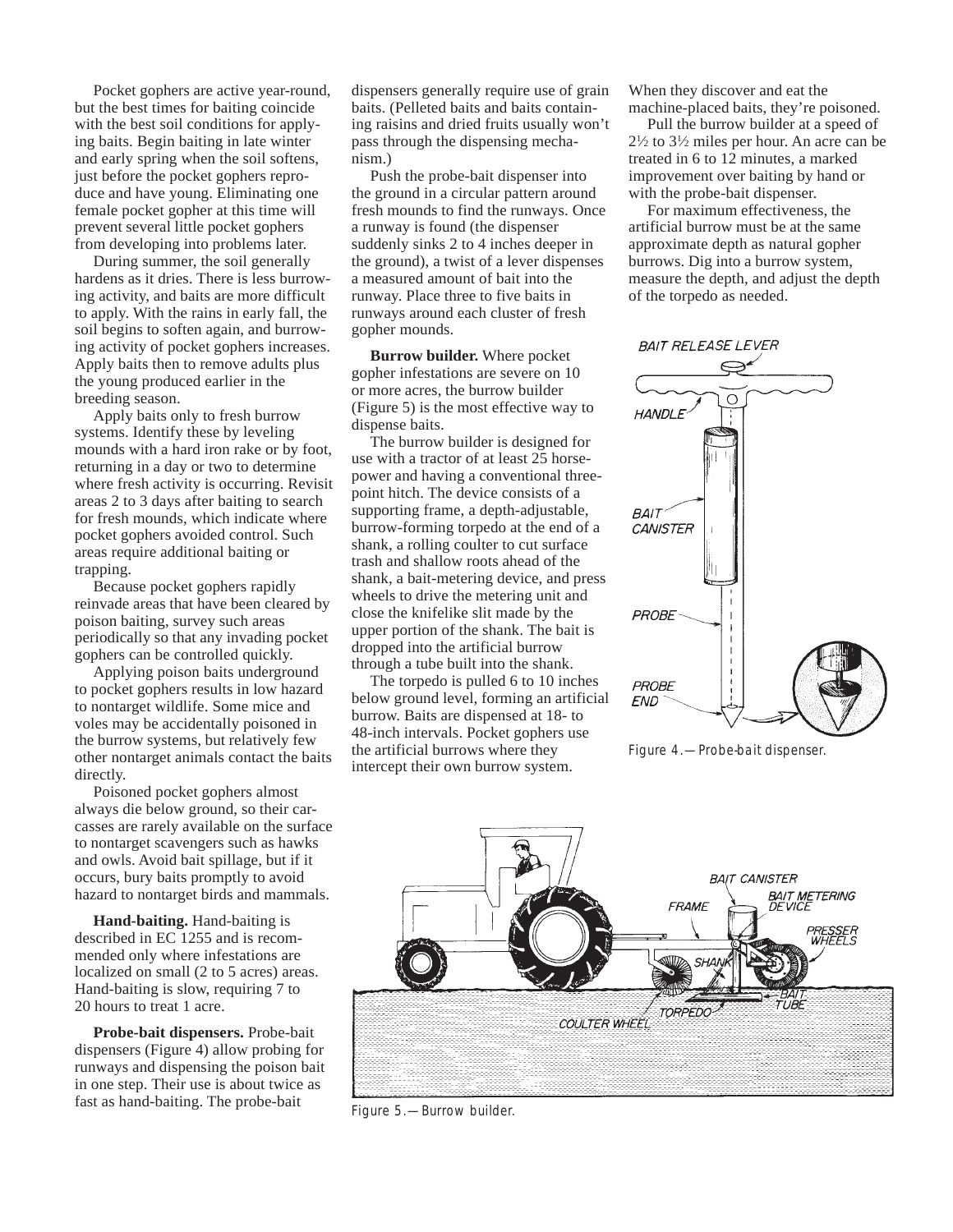Pocket gophers are active year-round, but the best times for baiting coincide with the best soil conditions for applying baits. Begin baiting in late winter and early spring when the soil softens, just before the pocket gophers reproduce and have young. Eliminating one female pocket gopher at this time will prevent several little pocket gophers from developing into problems later.

During summer, the soil generally hardens as it dries. There is less burrowing activity, and baits are more difficult to apply. With the rains in early fall, the soil begins to soften again, and burrowing activity of pocket gophers increases. Apply baits then to remove adults plus the young produced earlier in the breeding season.

Apply baits only to fresh burrow systems. Identify these by leveling mounds with a hard iron rake or by foot, returning in a day or two to determine where fresh activity is occurring. Revisit areas 2 to 3 days after baiting to search for fresh mounds, which indicate where pocket gophers avoided control. Such areas require additional baiting or trapping.

Because pocket gophers rapidly reinvade areas that have been cleared by poison baiting, survey such areas periodically so that any invading pocket gophers can be controlled quickly.

Applying poison baits underground to pocket gophers results in low hazard to nontarget wildlife. Some mice and voles may be accidentally poisoned in the burrow systems, but relatively few other nontarget animals contact the baits directly.

Poisoned pocket gophers almost always die below ground, so their carcasses are rarely available on the surface to nontarget scavengers such as hawks and owls. Avoid bait spillage, but if it occurs, bury baits promptly to avoid hazard to nontarget birds and mammals.

**Hand-baiting.** Hand-baiting is described in EC 1255 and is recommended only where infestations are localized on small (2 to 5 acres) areas. Hand-baiting is slow, requiring 7 to 20 hours to treat 1 acre.

**Probe-bait dispensers.** Probe-bait dispensers (Figure 4) allow probing for runways and dispensing the poison bait in one step. Their use is about twice as fast as hand-baiting. The probe-bait

dispensers generally require use of grain baits. (Pelleted baits and baits containing raisins and dried fruits usually won't pass through the dispensing mechanism.)

Push the probe-bait dispenser into the ground in a circular pattern around fresh mounds to find the runways. Once a runway is found (the dispenser suddenly sinks 2 to 4 inches deeper in the ground), a twist of a lever dispenses a measured amount of bait into the runway. Place three to five baits in runways around each cluster of fresh gopher mounds.

**Burrow builder.** Where pocket gopher infestations are severe on 10 or more acres, the burrow builder (Figure 5) is the most effective way to dispense baits.

The burrow builder is designed for use with a tractor of at least 25 horsepower and having a conventional threepoint hitch. The device consists of a supporting frame, a depth-adjustable, burrow-forming torpedo at the end of a shank, a rolling coulter to cut surface trash and shallow roots ahead of the shank, a bait-metering device, and press wheels to drive the metering unit and close the knifelike slit made by the upper portion of the shank. The bait is dropped into the artificial burrow through a tube built into the shank.

The torpedo is pulled 6 to 10 inches below ground level, forming an artificial burrow. Baits are dispensed at 18- to 48-inch intervals. Pocket gophers use the artificial burrows where they intercept their own burrow system.

When they discover and eat the machine-placed baits, they're poisoned.

Pull the burrow builder at a speed of  $2\frac{1}{2}$  to  $3\frac{1}{2}$  miles per hour. An acre can be treated in 6 to 12 minutes, a marked improvement over baiting by hand or with the probe-bait dispenser.

For maximum effectiveness, the artificial burrow must be at the same approximate depth as natural gopher burrows. Dig into a burrow system, measure the depth, and adjust the depth of the torpedo as needed.

**BAIT RELEASE LEVER** 



Figure 4.—Probe-bait dispenser.



Figure 5.—Burrow builder.